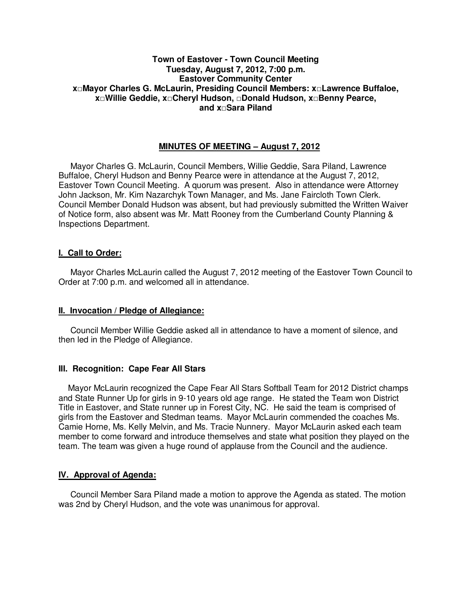## **Town of Eastover - Town Council Meeting Tuesday, August 7, 2012, 7:00 p.m. Eastover Community Center x□Mayor Charles G. McLaurin, Presiding Council Members: x□Lawrence Buffaloe, x□Willie Geddie, x□Cheryl Hudson, □Donald Hudson, x□Benny Pearce, and x□Sara Piland**

## **MINUTES OF MEETING – August 7, 2012**

Mayor Charles G. McLaurin, Council Members, Willie Geddie, Sara Piland, Lawrence Buffaloe, Cheryl Hudson and Benny Pearce were in attendance at the August 7, 2012, Eastover Town Council Meeting. A quorum was present. Also in attendance were Attorney John Jackson, Mr. Kim Nazarchyk Town Manager, and Ms. Jane Faircloth Town Clerk. Council Member Donald Hudson was absent, but had previously submitted the Written Waiver of Notice form, also absent was Mr. Matt Rooney from the Cumberland County Planning & Inspections Department.

## **I. Call to Order:**

Mayor Charles McLaurin called the August 7, 2012 meeting of the Eastover Town Council to Order at 7:00 p.m. and welcomed all in attendance.

## **II. Invocation / Pledge of Allegiance:**

 Council Member Willie Geddie asked all in attendance to have a moment of silence, and then led in the Pledge of Allegiance.

## **III. Recognition: Cape Fear All Stars**

Mayor McLaurin recognized the Cape Fear All Stars Softball Team for 2012 District champs and State Runner Up for girls in 9-10 years old age range. He stated the Team won District Title in Eastover, and State runner up in Forest City, NC. He said the team is comprised of girls from the Eastover and Stedman teams. Mayor McLaurin commended the coaches Ms. Camie Horne, Ms. Kelly Melvin, and Ms. Tracie Nunnery. Mayor McLaurin asked each team member to come forward and introduce themselves and state what position they played on the team. The team was given a huge round of applause from the Council and the audience.

## **IV. Approval of Agenda:**

 Council Member Sara Piland made a motion to approve the Agenda as stated. The motion was 2nd by Cheryl Hudson, and the vote was unanimous for approval.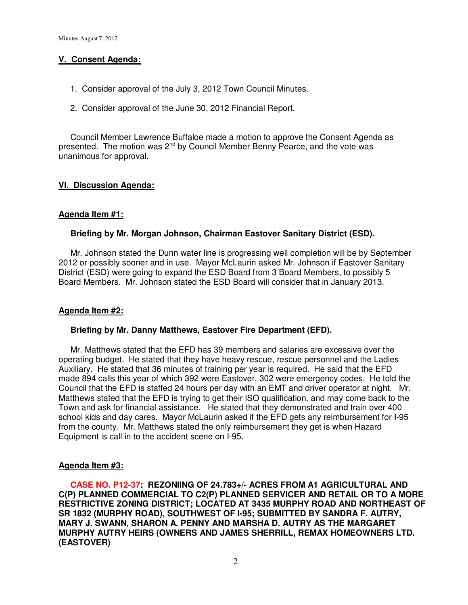## **V. Consent Agenda:**

- 1. Consider approval of the July 3, 2012 Town Council Minutes.
- 2. Consider approval of the June 30, 2012 Financial Report.

Council Member Lawrence Buffaloe made a motion to approve the Consent Agenda as presented. The motion was 2<sup>nd</sup> by Council Member Benny Pearce, and the vote was unanimous for approval.

# **VI. Discussion Agenda:**

## **Agenda Item #1:**

## **Briefing by Mr. Morgan Johnson, Chairman Eastover Sanitary District (ESD).**

Mr. Johnson stated the Dunn water line is progressing well completion will be by September 2012 or possibly sooner and in use. Mayor McLaurin asked Mr. Johnson if Eastover Sanitary District (ESD) were going to expand the ESD Board from 3 Board Members, to possibly 5 Board Members. Mr. Johnson stated the ESD Board will consider that in January 2013.

## **Agenda Item #2:**

## **Briefing by Mr. Danny Matthews, Eastover Fire Department (EFD).**

 Mr. Matthews stated that the EFD has 39 members and salaries are excessive over the operating budget. He stated that they have heavy rescue, rescue personnel and the Ladies Auxiliary. He stated that 36 minutes of training per year is required. He said that the EFD made 894 calls this year of which 392 were Eastover, 302 were emergency codes. He told the Council that the EFD is staffed 24 hours per day with an EMT and driver operator at night. Mr. Matthews stated that the EFD is trying to get their ISO qualification, and may come back to the Town and ask for financial assistance. He stated that they demonstrated and train over 400 school kids and day cares. Mayor McLaurin asked if the EFD gets any reimbursement for I-95 from the county. Mr. Matthews stated the only reimbursement they get is when Hazard Equipment is call in to the accident scene on I-95.

## **Agenda Item #3:**

 **CASE NO. P12-37: REZONIING OF 24.783+/- ACRES FROM A1 AGRICULTURAL AND C(P) PLANNED COMMERCIAL TO C2(P) PLANNED SERVICER AND RETAIL OR TO A MORE RESTRICTIVE ZONING DISTRICT; LOCATED AT 3435 MURPHY ROAD AND NORTHEAST OF SR 1832 (MURPHY ROAD), SOUTHWEST OF I-95; SUBMITTED BY SANDRA F. AUTRY, MARY J. SWANN, SHARON A. PENNY AND MARSHA D. AUTRY AS THE MARGARET MURPHY AUTRY HEIRS (OWNERS AND JAMES SHERRILL, REMAX HOMEOWNERS LTD. (EASTOVER)**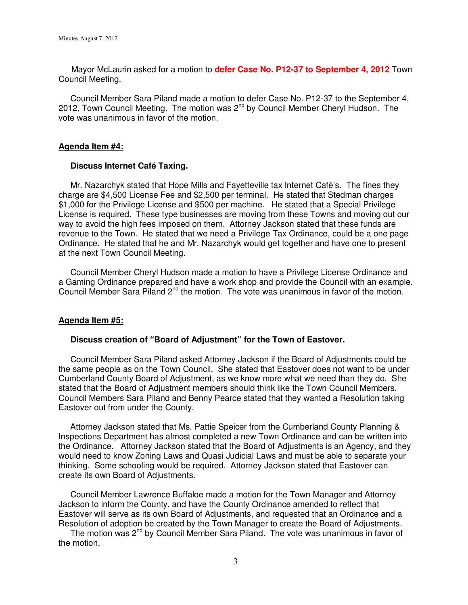Mayor McLaurin asked for a motion to **defer Case No. P12-37 to September 4, 2012** Town Council Meeting.

 Council Member Sara Piland made a motion to defer Case No. P12-37 to the September 4, 2012, Town Council Meeting. The motion was  $2^{nd}$  by Council Member Cheryl Hudson. The vote was unanimous in favor of the motion.

#### **Agenda Item #4:**

### **Discuss Internet Café Taxing.**

 Mr. Nazarchyk stated that Hope Mills and Fayetteville tax Internet Café's. The fines they charge are \$4,500 License Fee and \$2,500 per terminal. He stated that Stedman charges \$1,000 for the Privilege License and \$500 per machine. He stated that a Special Privilege License is required. These type businesses are moving from these Towns and moving out our way to avoid the high fees imposed on them. Attorney Jackson stated that these funds are revenue to the Town. He stated that we need a Privilege Tax Ordinance, could be a one page Ordinance. He stated that he and Mr. Nazarchyk would get together and have one to present at the next Town Council Meeting.

Council Member Cheryl Hudson made a motion to have a Privilege License Ordinance and a Gaming Ordinance prepared and have a work shop and provide the Council with an example. Council Member Sara Piland 2<sup>nd</sup> the motion. The vote was unanimous in favor of the motion.

#### **Agenda Item #5:**

#### **Discuss creation of "Board of Adjustment" for the Town of Eastover.**

Council Member Sara Piland asked Attorney Jackson if the Board of Adjustments could be the same people as on the Town Council. She stated that Eastover does not want to be under Cumberland County Board of Adjustment, as we know more what we need than they do. She stated that the Board of Adjustment members should think like the Town Council Members. Council Members Sara Piland and Benny Pearce stated that they wanted a Resolution taking Eastover out from under the County.

 Attorney Jackson stated that Ms. Pattie Speicer from the Cumberland County Planning & Inspections Department has almost completed a new Town Ordinance and can be written into the Ordinance. Attorney Jackson stated that the Board of Adjustments is an Agency, and they would need to know Zoning Laws and Quasi Judicial Laws and must be able to separate your thinking. Some schooling would be required. Attorney Jackson stated that Eastover can create its own Board of Adjustments.

 Council Member Lawrence Buffaloe made a motion for the Town Manager and Attorney Jackson to inform the County, and have the County Ordinance amended to reflect that Eastover will serve as its own Board of Adjustments, and requested that an Ordinance and a Resolution of adoption be created by the Town Manager to create the Board of Adjustments.

The motion was 2<sup>nd</sup> by Council Member Sara Piland. The vote was unanimous in favor of the motion.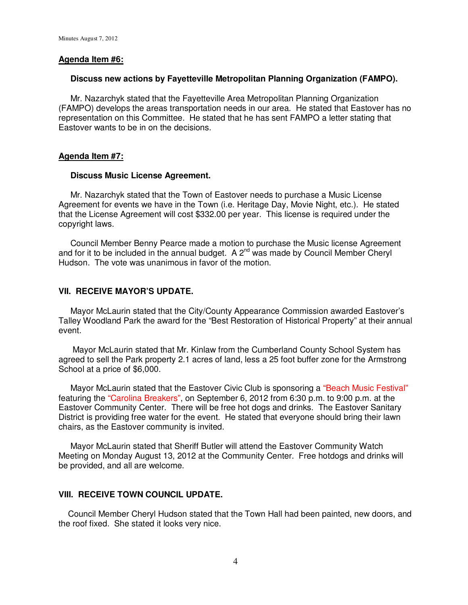### **Agenda Item #6:**

#### **Discuss new actions by Fayetteville Metropolitan Planning Organization (FAMPO).**

 Mr. Nazarchyk stated that the Fayetteville Area Metropolitan Planning Organization (FAMPO) develops the areas transportation needs in our area. He stated that Eastover has no representation on this Committee. He stated that he has sent FAMPO a letter stating that Eastover wants to be in on the decisions.

#### **Agenda Item #7:**

#### **Discuss Music License Agreement.**

 Mr. Nazarchyk stated that the Town of Eastover needs to purchase a Music License Agreement for events we have in the Town (i.e. Heritage Day, Movie Night, etc.). He stated that the License Agreement will cost \$332.00 per year. This license is required under the copyright laws.

 Council Member Benny Pearce made a motion to purchase the Music license Agreement and for it to be included in the annual budget. A  $2^{nd}$  was made by Council Member Cheryl Hudson. The vote was unanimous in favor of the motion.

### **VII. RECEIVE MAYOR'S UPDATE.**

 Mayor McLaurin stated that the City/County Appearance Commission awarded Eastover's Talley Woodland Park the award for the "Best Restoration of Historical Property" at their annual event.

 Mayor McLaurin stated that Mr. Kinlaw from the Cumberland County School System has agreed to sell the Park property 2.1 acres of land, less a 25 foot buffer zone for the Armstrong School at a price of \$6,000.

 Mayor McLaurin stated that the Eastover Civic Club is sponsoring a "Beach Music Festival" featuring the "Carolina Breakers", on September 6, 2012 from 6:30 p.m. to 9:00 p.m. at the Eastover Community Center. There will be free hot dogs and drinks. The Eastover Sanitary District is providing free water for the event. He stated that everyone should bring their lawn chairs, as the Eastover community is invited.

 Mayor McLaurin stated that Sheriff Butler will attend the Eastover Community Watch Meeting on Monday August 13, 2012 at the Community Center. Free hotdogs and drinks will be provided, and all are welcome.

#### **VIII. RECEIVE TOWN COUNCIL UPDATE.**

 Council Member Cheryl Hudson stated that the Town Hall had been painted, new doors, and the roof fixed. She stated it looks very nice.